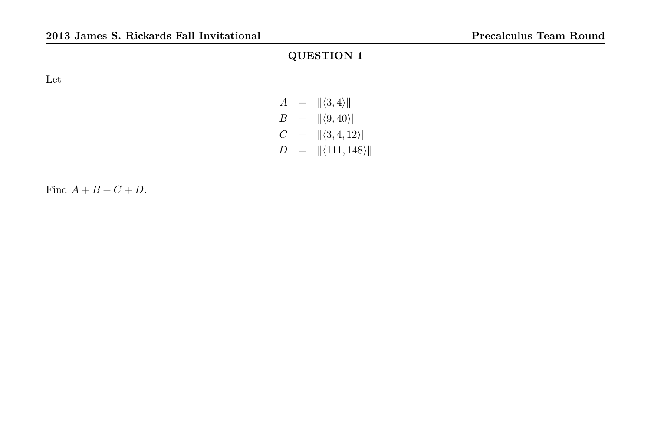Let

# $A = ||\langle 3, 4\rangle||$  $B = ||\langle 9, 40 \rangle||$  $C = ||\langle 3, 4, 12 \rangle||$  $D = ||\langle 111, 148 \rangle||$

Find  $A + B + C + D$ .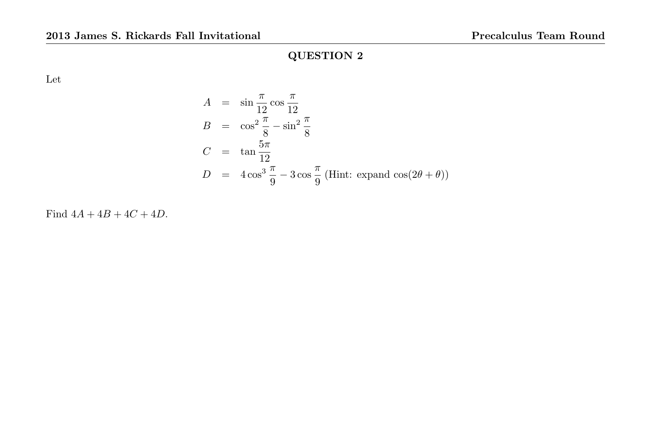Let

$$
A = \sin \frac{\pi}{12} \cos \frac{\pi}{12}
$$
  
\n
$$
B = \cos^2 \frac{\pi}{8} - \sin^2 \frac{\pi}{8}
$$
  
\n
$$
C = \tan \frac{5\pi}{12}
$$
  
\n
$$
D = 4\cos^3 \frac{\pi}{9} - 3\cos \frac{\pi}{9}
$$
 (Hint: expand cos(2 $\theta$  +  $\theta$ ))

Find  $4A + 4B + 4C + 4D$ .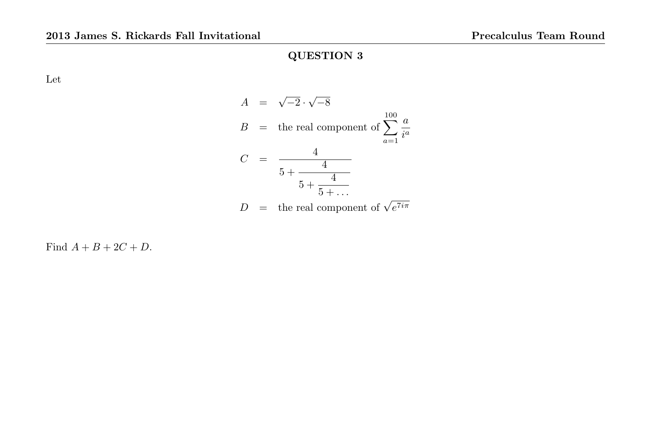Let

$$
A = \sqrt{-2} \cdot \sqrt{-8}
$$
  
\n
$$
B = \text{ the real component of } \sum_{a=1}^{100} \frac{a}{i^a}
$$
  
\n
$$
C = \frac{4}{5 + \frac{4}{5 + \dots}}
$$
  
\n
$$
D = \text{ the real component of } \sqrt{e^{7i\pi}}
$$

Find  $A + B + 2C + D$ .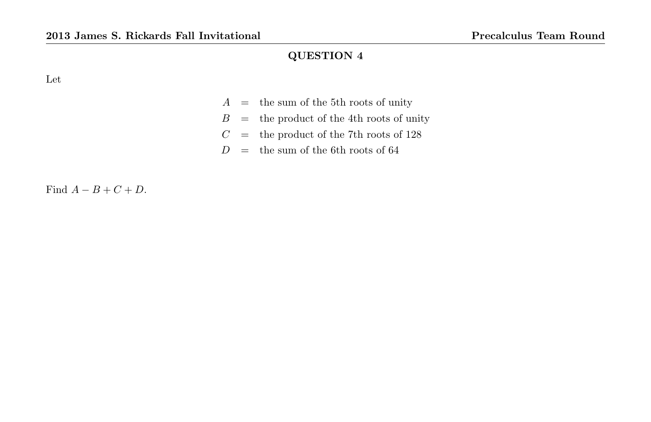Let

- $A =$  the sum of the 5th roots of unity
- $B =$  the product of the 4th roots of unity
- C = the product of the 7th roots of 128
- $D =$  the sum of the 6th roots of 64

Find  $A - B + C + D$ .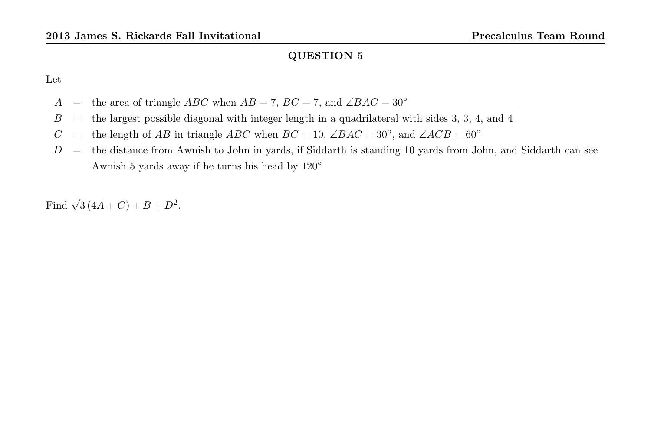Let

- A = the area of triangle ABC when  $AB = 7$ ,  $BC = 7$ , and  $\angle BAC = 30^{\circ}$
- $B =$  the largest possible diagonal with integer length in a quadrilateral with sides 3, 3, 4, and 4
- C = the length of AB in triangle ABC when  $BC = 10$ ,  $\angle BAC = 30^\circ$ , and  $\angle ACB = 60^\circ$
- $D =$  the distance from Awnish to John in yards, if Siddarth is standing 10 yards from John, and Siddarth can see Awnish 5 yards away if he turns his head by 120◦

Find  $\sqrt{3}(4A+C) + B + D^2$ .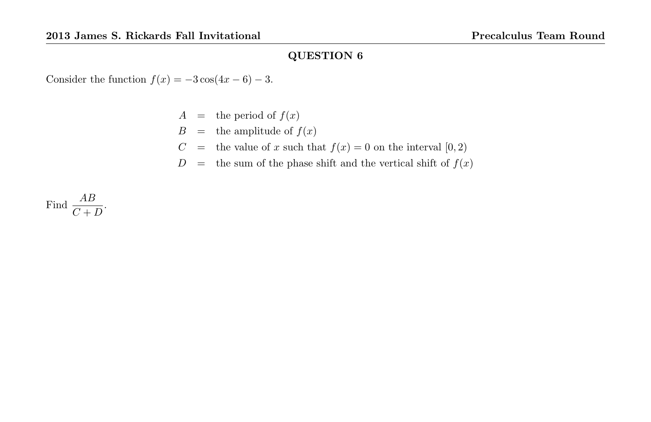Consider the function  $f(x) = -3\cos(4x - 6) - 3$ .

- $A =$  the period of  $f(x)$
- $B =$  the amplitude of  $f(x)$
- $C\quad =\quad$  the value of  $x$  such that  $f(x)=0$  on the interval  $[0,2)$
- $D =$  the sum of the phase shift and the vertical shift of  $f(x)$

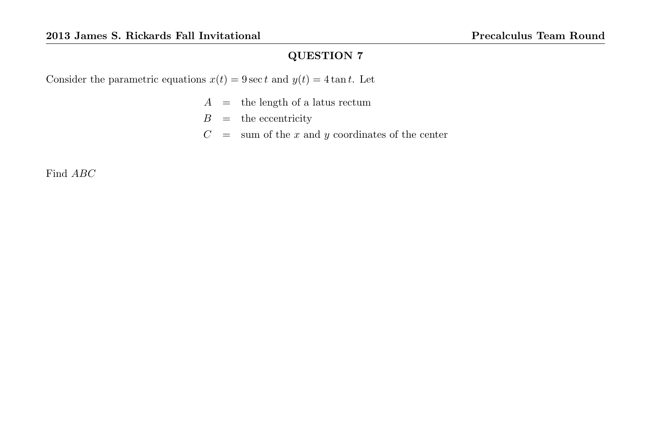Consider the parametric equations  $x(t) = 9 \sec t$  and  $y(t) = 4 \tan t$ . Let

- $A =$  the length of a latus rectum
- $B =$  the eccentricity
- $C = \text{sum of the } x \text{ and } y \text{ coordinates of the center}$

Find  $ABC$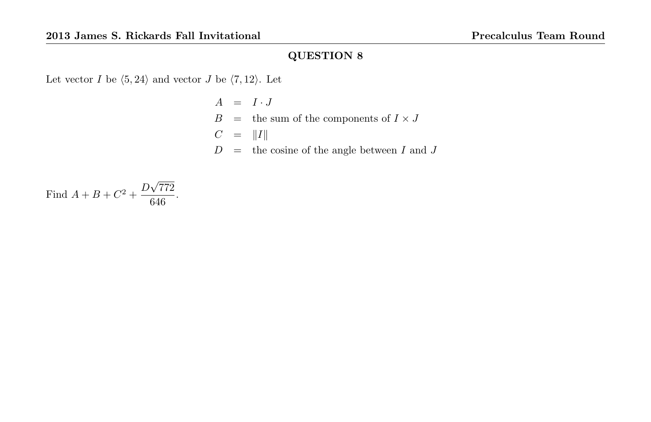Let vector  $I$  be  $\langle 5, 24 \rangle$  and vector  $J$  be  $\langle 7, 12 \rangle.$  Let

$$
A = I \cdot J
$$
  
\n
$$
B = \text{the sum of the components of } I \times J
$$
  
\n
$$
C = ||I||
$$
  
\n
$$
D = \text{the cosine of the angle between } I \text{ and } J
$$

Find 
$$
A + B + C^2 + \frac{D\sqrt{772}}{646}
$$
.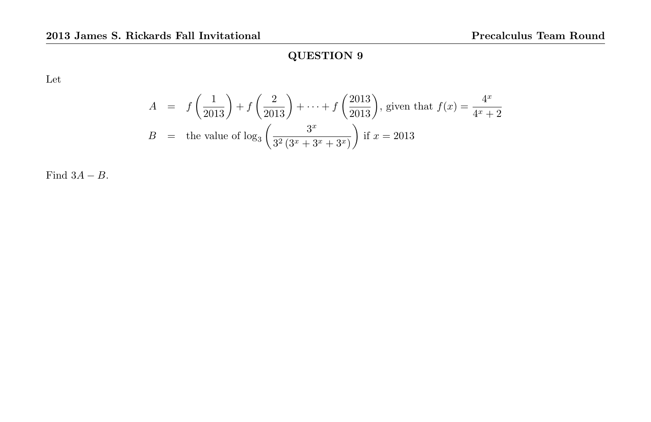Let

$$
A = f\left(\frac{1}{2013}\right) + f\left(\frac{2}{2013}\right) + \dots + f\left(\frac{2013}{2013}\right), \text{ given that } f(x) = \frac{4^x}{4^x + 2}
$$
  

$$
B = \text{the value of } \log_3\left(\frac{3^x}{3^2(3^x + 3^x + 3^x)}\right) \text{ if } x = 2013
$$

Find  $3A - B$ .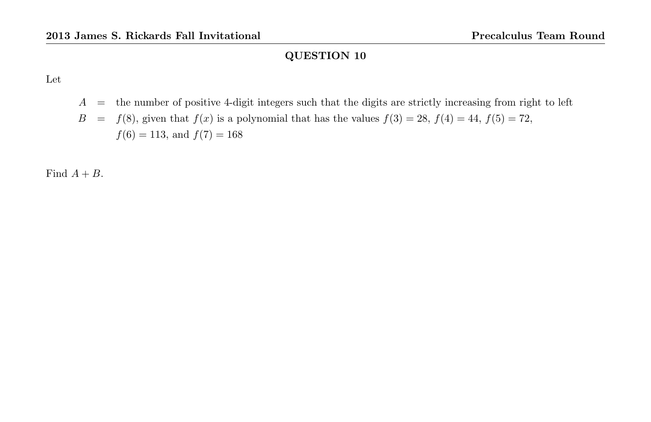Let

 $A =$  the number of positive 4-digit integers such that the digits are strictly increasing from right to left  $B = f(8)$ , given that  $f(x)$  is a polynomial that has the values  $f(3) = 28$ ,  $f(4) = 44$ ,  $f(5) = 72$ ,  $f(6) = 113$ , and  $f(7) = 168$ 

Find  $A + B$ .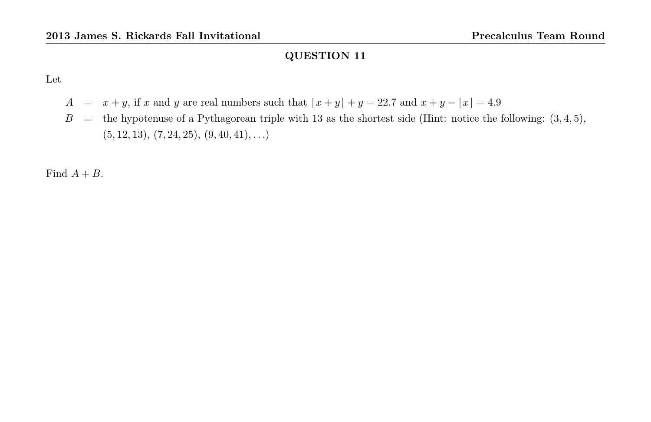Let

- A =  $x + y$ , if x and y are real numbers such that  $\lfloor x + y \rfloor + y = 22.7$  and  $x + y \lfloor x \rfloor = 4.9$
- $B =$  the hypotenuse of a Pythagorean triple with 13 as the shortest side (Hint: notice the following:  $(3, 4, 5)$ ,  $(5, 12, 13), (7, 24, 25), (9, 40, 41), \ldots)$

Find  $A + B$ .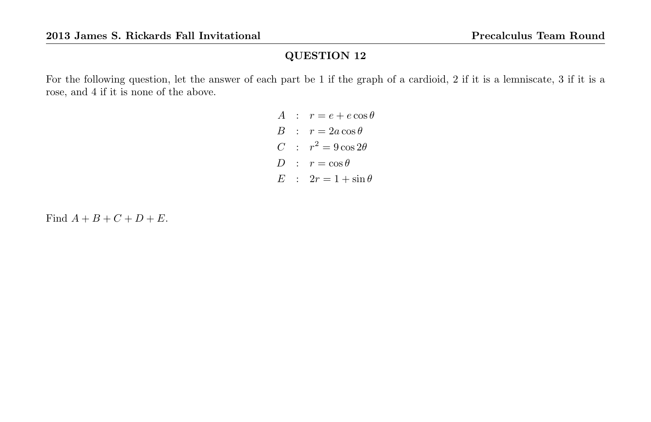For the following question, let the answer of each part be 1 if the graph of a cardioid, 2 if it is a lemniscate, 3 if it is a rose, and 4 if it is none of the above.

> A :  $r = e + e \cos \theta$  $B : r = 2a \cos \theta$ C :  $r^2 = 9\cos 2\theta$  $D : r = \cos \theta$  $E : 2r = 1 + \sin \theta$

Find  $A + B + C + D + E$ .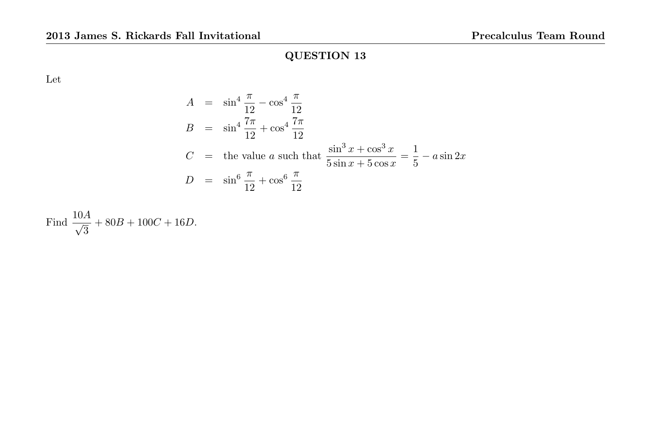Let

$$
A = \sin^4 \frac{\pi}{12} - \cos^4 \frac{\pi}{12}
$$
  
\n
$$
B = \sin^4 \frac{7\pi}{12} + \cos^4 \frac{7\pi}{12}
$$
  
\n
$$
C = \text{the value } a \text{ such that } \frac{\sin^3 x + \cos^3 x}{5 \sin x + 5 \cos x} = \frac{1}{5} - a \sin 2x
$$
  
\n
$$
D = \sin^6 \frac{\pi}{12} + \cos^6 \frac{\pi}{12}
$$

Find 
$$
\frac{10A}{\sqrt{3}} + 80B + 100C + 16D
$$
.